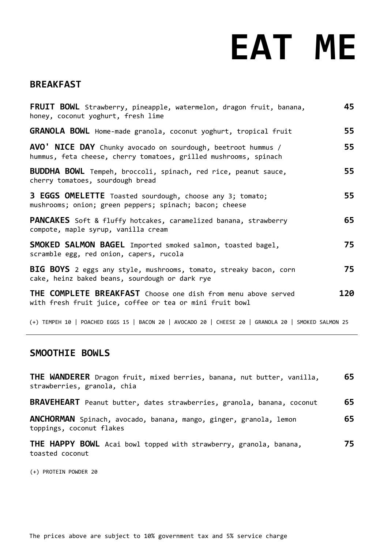# **EAT ME**

## **BREAKFAST**

| FRUIT BOWL Strawberry, pineapple, watermelon, dragon fruit, banana,<br>honey, coconut yoghurt, fresh lime                        | 45  |
|----------------------------------------------------------------------------------------------------------------------------------|-----|
| <b>GRANOLA BOWL</b> Home-made granola, coconut yoghurt, tropical fruit                                                           | 55  |
| AVO' NICE DAY Chunky avocado on sourdough, beetroot hummus /<br>hummus, feta cheese, cherry tomatoes, grilled mushrooms, spinach | 55  |
| BUDDHA BOWL Tempeh, broccoli, spinach, red rice, peanut sauce,<br>cherry tomatoes, sourdough bread                               | 55  |
| 3 EGGS OMELETTE Toasted sourdough, choose any 3; tomato;<br>mushrooms; onion; green peppers; spinach; bacon; cheese              | 55  |
| <b>PANCAKES</b> Soft & fluffy hotcakes, caramelized banana, strawberry<br>compote, maple syrup, vanilla cream                    | 65  |
| SMOKED SALMON BAGEL Imported smoked salmon, toasted bagel,<br>scramble egg, red onion, capers, rucola                            | 75  |
| BIG BOYS 2 eggs any style, mushrooms, tomato, streaky bacon, corn<br>cake, heinz baked beans, sourdough or dark rye              | 75  |
| <b>THE COMPLETE BREAKFAST</b> Choose one dish from menu above served<br>with fresh fruit juice, coffee or tea or mini fruit bowl | 120 |

(+) TEMPEH 10 | POACHED EGGS 15 | BACON 20 | AVOCADO 20 | CHEESE 20 | GRANOLA 20 | SMOKED SALMON 25

# **SMOOTHIE BOWLS**

| THE WANDERER Dragon fruit, mixed berries, banana, nut butter, vanilla,<br>strawberries, granola, chia | 65  |
|-------------------------------------------------------------------------------------------------------|-----|
| BRAVEHEART Peanut butter, dates strawberries, granola, banana, coconut                                | 65  |
| ANCHORMAN Spinach, avocado, banana, mango, ginger, granola, lemon<br>toppings, coconut flakes         | 65  |
| THE HAPPY BOWL Acai bowl topped with strawberry, granola, banana,<br>toasted coconut                  | 75. |

(+) PROTEIN POWDER 20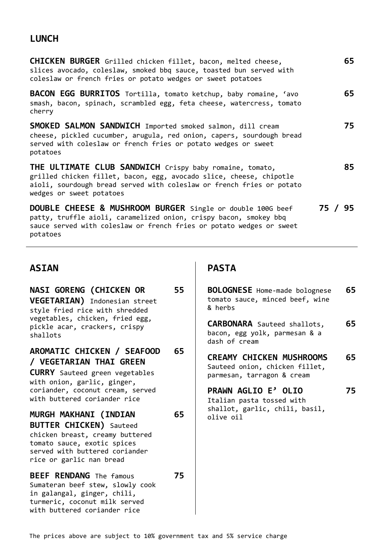# **LUNCH**

| <b>CHICKEN BURGER</b> Grilled chicken fillet, bacon, melted cheese,<br>slices avocado, coleslaw, smoked bbq sauce, toasted bun served with<br>coleslaw or french fries or potato wedges or sweet potatoes                           | 65      |
|-------------------------------------------------------------------------------------------------------------------------------------------------------------------------------------------------------------------------------------|---------|
| BACON EGG BURRITOS Tortilla, tomato ketchup, baby romaine, 'avo<br>smash, bacon, spinach, scrambled egg, feta cheese, watercress, tomato<br>cherry                                                                                  | 65      |
| <b>SMOKED SALMON SANDWICH</b> Imported smoked salmon, dill cream<br>cheese, pickled cucumber, arugula, red onion, capers, sourdough bread<br>served with coleslaw or french fries or potato wedges or sweet<br>potatoes             | 75      |
| THE ULTIMATE CLUB SANDWICH Crispy baby romaine, tomato,<br>grilled chicken fillet, bacon, egg, avocado slice, cheese, chipotle<br>aioli, sourdough bread served with coleslaw or french fries or potato<br>wedges or sweet potatoes | 85      |
| DOUBLE CHEESE & MUSHROOM BURGER Single or double 100G beef<br>patty, truffle aioli, caramelized onion, crispy bacon, smokey bbq<br>sauce served with coleslaw or french fries or potato wedges or sweet<br>potatoes                 | 75 / 95 |

# **ASIAN PASTA**

| <b>NASI GORENG (CHICKEN OR</b><br>VEGETARIAN) Indonesian street<br>style fried rice with shredded<br>vegetables, chicken, fried egg,                                                    | 55 | <b>BOLOGNESE</b> Home-made bolognese<br>tomato sauce, minced beef, wine<br>& herbs              | 65                             |  |
|-----------------------------------------------------------------------------------------------------------------------------------------------------------------------------------------|----|-------------------------------------------------------------------------------------------------|--------------------------------|--|
| pickle acar, crackers, crispy<br>shallots                                                                                                                                               |    | <b>CARBONARA</b> Sauteed shallots,<br>bacon, egg yolk, parmesan & a<br>dash of cream            | 65                             |  |
| AROMATIC CHICKEN / SEAFOOD<br>/ VEGETARIAN THAI GREEN<br><b>CURRY</b> Sauteed green vegetables<br>with onion, garlic, ginger,                                                           | 65 | <b>CREAMY CHICKEN MUSHROOMS</b><br>Sauteed onion, chicken fillet,<br>parmesan, tarragon & cream | 65                             |  |
| coriander, coconut cream, served<br>with buttered coriander rice                                                                                                                        |    | <b>PRAWN AGLIO E' OLIO</b><br>Italian pasta tossed with                                         | 75                             |  |
| MURGH MAKHANI (INDIAN<br><b>BUTTER CHICKEN)</b> Sauteed<br>chicken breast, creamy buttered<br>tomato sauce, exotic spices<br>served with buttered coriander<br>rice or garlic nan bread | 65 | olive oil                                                                                       | shallot, garlic, chili, basil, |  |
| <b>BEEF RENDANG</b> The famous<br>Sumateran beef stew, slowly cook<br>in galangal, ginger, chili,<br>turmeric, coconut milk served<br>with buttered coriander rice                      | 75 |                                                                                                 |                                |  |